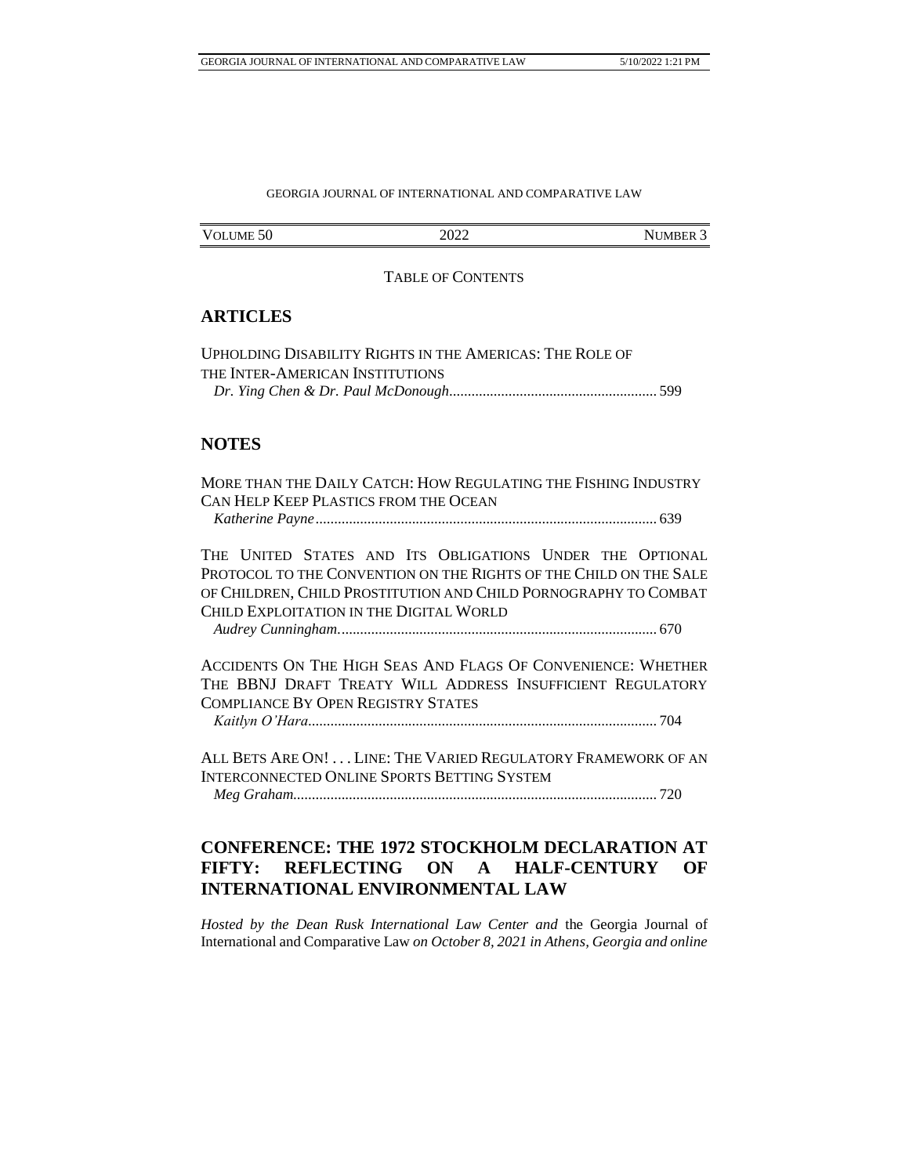## GEORGIA JOURNAL OF INTERNATIONAL AND COMPARATIVE LAW

| VOLUME <sub>50</sub> | റററ<br>ZUZZ<br>_____ | "IMBER.<br>NU. |
|----------------------|----------------------|----------------|

### TABLE OF CONTENTS

# **ARTICLES**

| UPHOLDING DISABILITY RIGHTS IN THE AMERICAS: THE ROLE OF |  |
|----------------------------------------------------------|--|
| THE INTER-AMERICAN INSTITUTIONS                          |  |
|                                                          |  |

# **NOTES**

MORE THAN THE DAILY CATCH: HOW REGULATING THE FISHING INDUSTRY CAN HELP KEEP PLASTICS FROM THE OCEAN *Katherine Payne*............................................................................................ 639

THE UNITED STATES AND ITS OBLIGATIONS UNDER THE OPTIONAL PROTOCOL TO THE CONVENTION ON THE RIGHTS OF THE CHILD ON THE SALE OF CHILDREN, CHILD PROSTITUTION AND CHILD PORNOGRAPHY TO COMBAT CHILD EXPLOITATION IN THE DIGITAL WORLD

*Audrey Cunningham.*..................................................................................... 670

ACCIDENTS ON THE HIGH SEAS AND FLAGS OF CONVENIENCE: WHETHER THE BBNJ DRAFT TREATY WILL ADDRESS INSUFFICIENT REGULATORY COMPLIANCE BY OPEN REGISTRY STATES

*Kaitlyn O'Hara*.............................................................................................. 704

ALL BETS ARE ON! . . . LINE: THE VARIED REGULATORY FRAMEWORK OF AN INTERCONNECTED ONLINE SPORTS BETTING SYSTEM

*Meg Graham*.................................................................................................. 720

# **CONFERENCE: THE 1972 STOCKHOLM DECLARATION AT FIFTY: REFLECTING ON A HALF-CENTURY OF INTERNATIONAL ENVIRONMENTAL LAW**

*Hosted by the Dean Rusk International Law Center and* the Georgia Journal of International and Comparative Law *on October 8, 2021 in Athens, Georgia and online*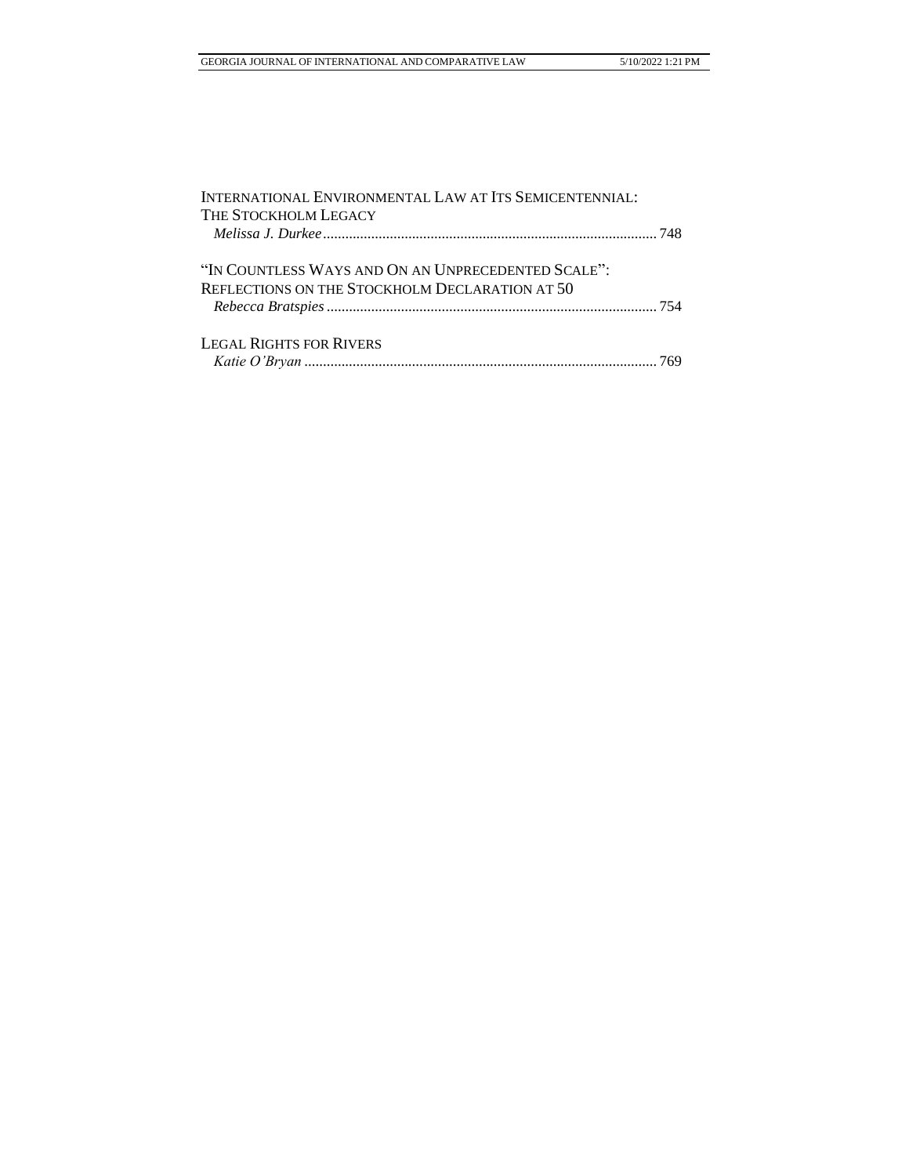| INTERNATIONAL ENVIRONMENTAL LAW AT ITS SEMICENTENNIAL:                                               |  |
|------------------------------------------------------------------------------------------------------|--|
| THE STOCKHOLM LEGACY                                                                                 |  |
| "IN COUNTLESS WAYS AND ON AN UNPRECEDENTED SCALE":<br>REFLECTIONS ON THE STOCKHOLM DECLARATION AT 50 |  |
| <b>LEGAL RIGHTS FOR RIVERS</b>                                                                       |  |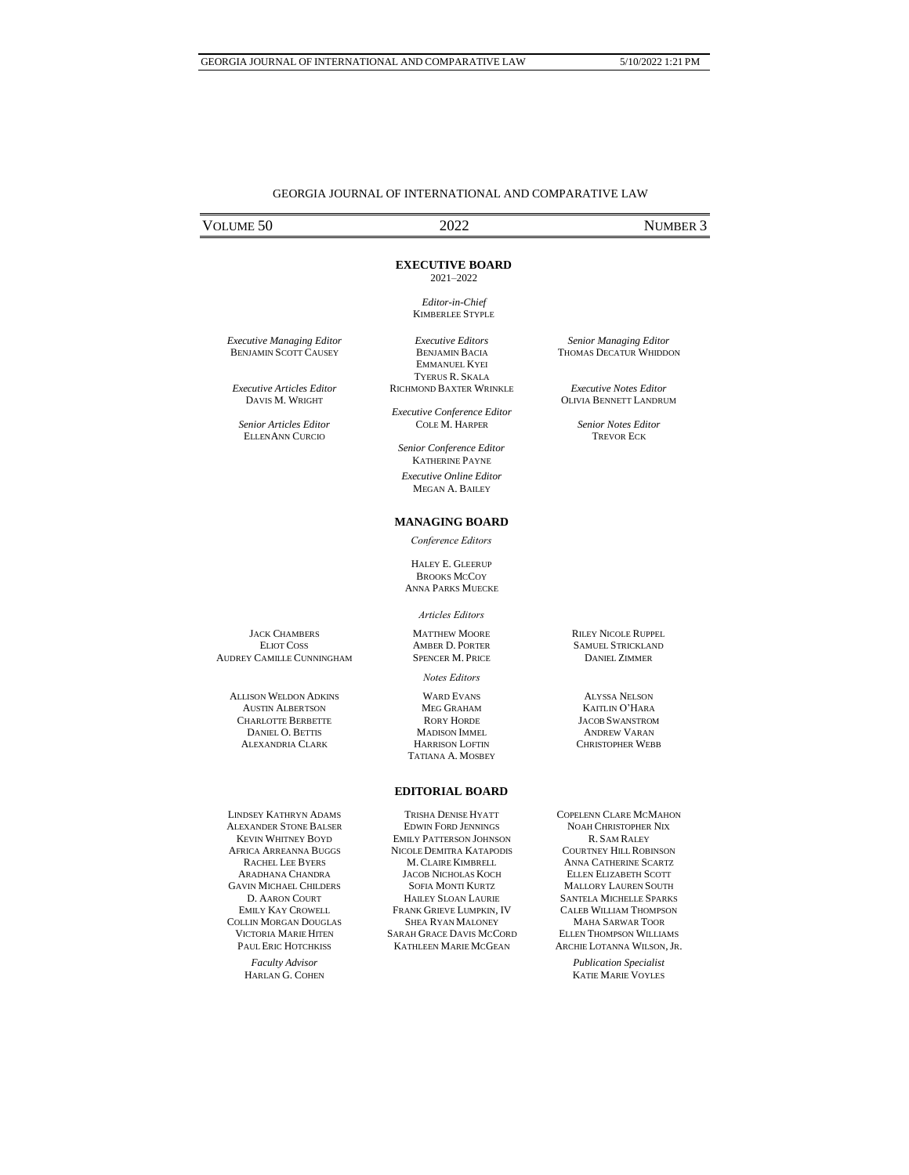## GEORGIA JOURNAL OF INTERNATIONAL AND COMPARATIVE LAW

# VOLUME 50 2022 NUMBER 3

### **EXECUTIVE BOARD**

2021–2022

*Editor-in-Chief* KIMBERLEE STYPLE

*Executive Editors* BENJAMIN BACIA EMMANUEL KYEI

*Executive Managing Editor* BENJAMIN SCOTT CAUSEY

*Executive Articles Editor* DAVIS M. WRIGHT

*Senior Articles Editor* ELLENANN CURCIO

TYERUS R. SKALA RICHMOND BAXTER WRINKLE *Executive Conference Editor*

COLE M. HARPER

*Senior Conference Editor* KATHERINE PAYNE *Executive Online Editor* MEGAN A. BAILEY

### **MANAGING BOARD**

*Conference Editors*

HALEY E. GLEERUP **BROOKS MCCOY** ANNA PARKS MUECKE

#### *Articles Editors*

MATTHEW MOORE AMBER D. PORTER SPENCER M. PRICE

*Notes Editors*

WARD EVANS MEG GRAHAM RORY HORDE MADISON IMMEL HARRISON LOFTIN TATIANA A. MOSBEY RILEY NICOLE RUPPEL SAMUEL STRICKLAND DANIEL ZIMMER

ALYSSA NELSON KAITLIN O'HARA JACOB SWANSTROM ANDREW VARAN CHRISTOPHER WEBB

LINDSEY KATHRYN ADAMS ALEXANDER STONE BALSER KEVIN WHITNEY BOYD AFRICA ARREANNA BUGGS RACHEL LEE BYERS ARADHANA CHANDRA GAVIN MICHAEL CHILDERS D. AARON COURT EMILY KAY CROWELL COLLIN MORGAN DOUGLAS VICTORIA MARIE HITEN PAUL ERIC HOTCHKISS

> *Faculty Advisor*  HARLAN G. COHEN

## **EDITORIAL BOARD**

TRISHA DENISE HYATT EDWIN FORD JENNINGS EMILY PATTERSON JOHNSON NICOLE DEMITRA KATAPODIS M. CLAIRE KIMBRELL JACOB NICHOLAS KOCH SOFIA MONTI KURTZ HAILEY SLOAN LAURIE FRANK GRIEVE LUMPKIN, IV SHEA RYAN MALONEY SARAH GRACE DAVIS MCCORD KATHLEEN MARIE MCGEAN

COPELENN CLARE MCMAHON NOAH CHRISTOPHER NIX R. SAM RALEY COURTNEY HILL ROBINSON ANNA CATHERINE SCARTZ ELLEN ELIZABETH SCOTT MALLORY LAUREN SOUTH SANTELA MICHELLE SPARKS CALEB WILLIAM THOMPSON MAHA SARWAR TOOR ELLEN THOMPSON WILLIAMS ARCHIE LOTANNA WILSON,JR.

*Publication Specialist*  KATIE MARIE VOYLES

*Senior Managing Editor* THOMAS DECATUR WHIDDON

*Executive Notes Editor* OLIVIA BENNETT LANDRUM

> *Senior Notes Editor* TREVOR ECK

JACK CHAMBERS ELIOT COSS AUDREY CAMILLE CUNNINGHAM

> ALLISON WELDON ADKINS AUSTIN ALBERTSON CHARLOTTE BERBETTE DANIEL O. BETTIS ALEXANDRIA CLARK